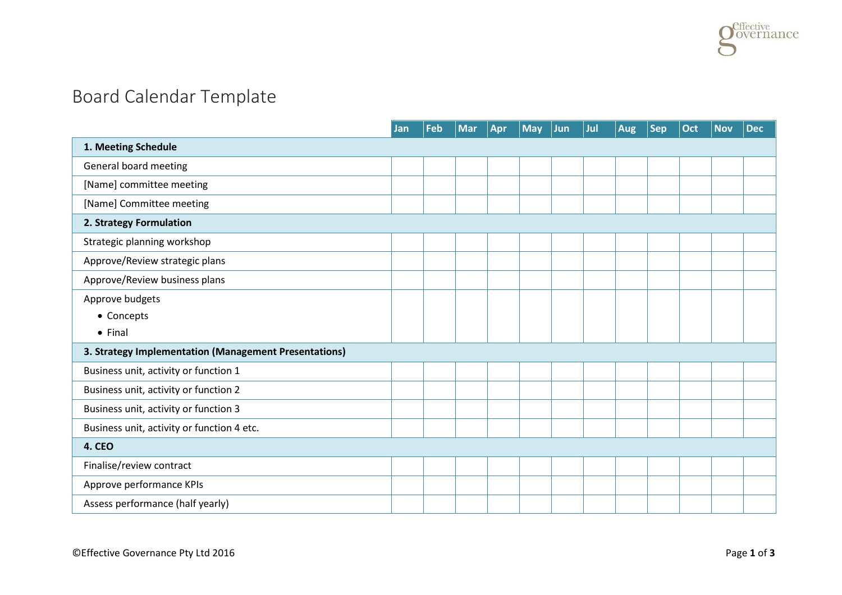## Board Calendar Template

|                                                       | Jan | Feb | <b>Mar</b> | Apr | <b>May</b> | Jun | Jul | <b>Aug</b> | <b>Sep</b> | Oct | <b>Nov</b> | <b>Dec</b> |
|-------------------------------------------------------|-----|-----|------------|-----|------------|-----|-----|------------|------------|-----|------------|------------|
| 1. Meeting Schedule                                   |     |     |            |     |            |     |     |            |            |     |            |            |
| General board meeting                                 |     |     |            |     |            |     |     |            |            |     |            |            |
| [Name] committee meeting                              |     |     |            |     |            |     |     |            |            |     |            |            |
| [Name] Committee meeting                              |     |     |            |     |            |     |     |            |            |     |            |            |
| 2. Strategy Formulation                               |     |     |            |     |            |     |     |            |            |     |            |            |
| Strategic planning workshop                           |     |     |            |     |            |     |     |            |            |     |            |            |
| Approve/Review strategic plans                        |     |     |            |     |            |     |     |            |            |     |            |            |
| Approve/Review business plans                         |     |     |            |     |            |     |     |            |            |     |            |            |
| Approve budgets                                       |     |     |            |     |            |     |     |            |            |     |            |            |
| • Concepts                                            |     |     |            |     |            |     |     |            |            |     |            |            |
| $\bullet$ Final                                       |     |     |            |     |            |     |     |            |            |     |            |            |
| 3. Strategy Implementation (Management Presentations) |     |     |            |     |            |     |     |            |            |     |            |            |
| Business unit, activity or function 1                 |     |     |            |     |            |     |     |            |            |     |            |            |
| Business unit, activity or function 2                 |     |     |            |     |            |     |     |            |            |     |            |            |
| Business unit, activity or function 3                 |     |     |            |     |            |     |     |            |            |     |            |            |
| Business unit, activity or function 4 etc.            |     |     |            |     |            |     |     |            |            |     |            |            |
| <b>4. CEO</b>                                         |     |     |            |     |            |     |     |            |            |     |            |            |
| Finalise/review contract                              |     |     |            |     |            |     |     |            |            |     |            |            |
| Approve performance KPIs                              |     |     |            |     |            |     |     |            |            |     |            |            |
| Assess performance (half yearly)                      |     |     |            |     |            |     |     |            |            |     |            |            |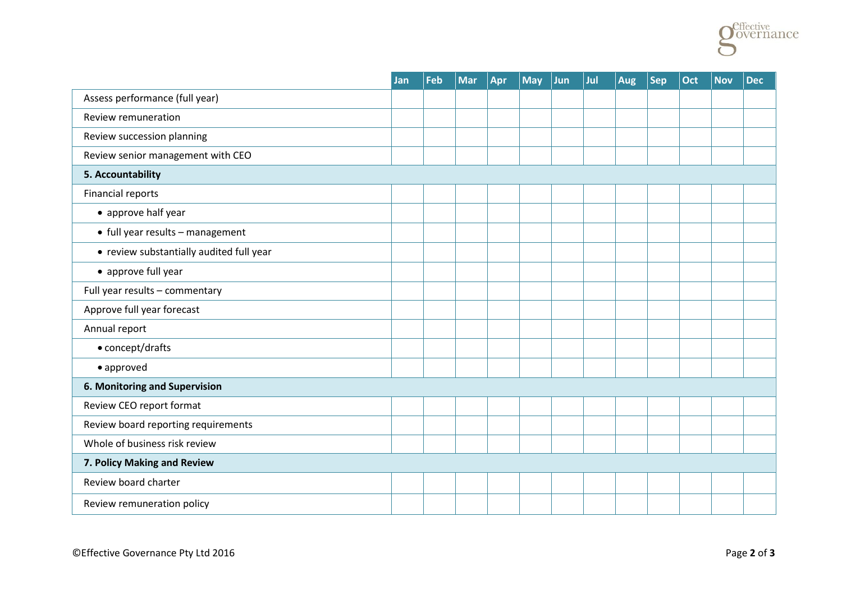

|                                          | Jan | Feb | <b>Mar</b> | Apr | <b>May</b> | Jun | Jul | <b>Aug</b> | <b>Sep</b> | Oct | <b>Nov</b> | <b>Dec</b> |
|------------------------------------------|-----|-----|------------|-----|------------|-----|-----|------------|------------|-----|------------|------------|
| Assess performance (full year)           |     |     |            |     |            |     |     |            |            |     |            |            |
| Review remuneration                      |     |     |            |     |            |     |     |            |            |     |            |            |
| Review succession planning               |     |     |            |     |            |     |     |            |            |     |            |            |
| Review senior management with CEO        |     |     |            |     |            |     |     |            |            |     |            |            |
| 5. Accountability                        |     |     |            |     |            |     |     |            |            |     |            |            |
| Financial reports                        |     |     |            |     |            |     |     |            |            |     |            |            |
| • approve half year                      |     |     |            |     |            |     |     |            |            |     |            |            |
| • full year results - management         |     |     |            |     |            |     |     |            |            |     |            |            |
| • review substantially audited full year |     |     |            |     |            |     |     |            |            |     |            |            |
| • approve full year                      |     |     |            |     |            |     |     |            |            |     |            |            |
| Full year results - commentary           |     |     |            |     |            |     |     |            |            |     |            |            |
| Approve full year forecast               |     |     |            |     |            |     |     |            |            |     |            |            |
| Annual report                            |     |     |            |     |            |     |     |            |            |     |            |            |
| • concept/drafts                         |     |     |            |     |            |     |     |            |            |     |            |            |
| • approved                               |     |     |            |     |            |     |     |            |            |     |            |            |
| 6. Monitoring and Supervision            |     |     |            |     |            |     |     |            |            |     |            |            |
| Review CEO report format                 |     |     |            |     |            |     |     |            |            |     |            |            |
| Review board reporting requirements      |     |     |            |     |            |     |     |            |            |     |            |            |
| Whole of business risk review            |     |     |            |     |            |     |     |            |            |     |            |            |
| 7. Policy Making and Review              |     |     |            |     |            |     |     |            |            |     |            |            |
| Review board charter                     |     |     |            |     |            |     |     |            |            |     |            |            |
| Review remuneration policy               |     |     |            |     |            |     |     |            |            |     |            |            |